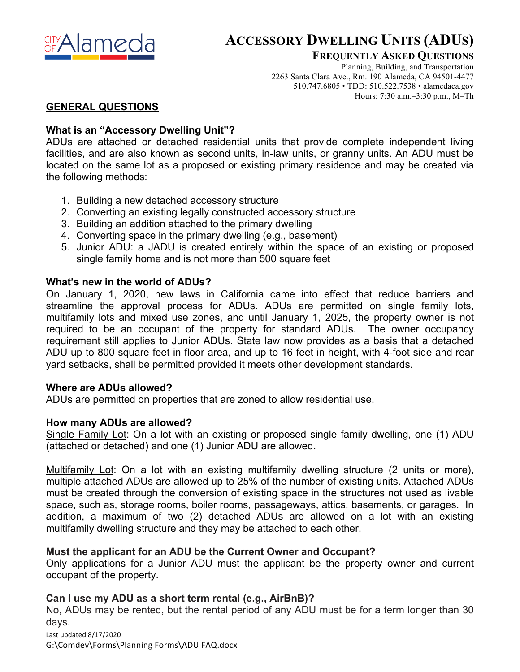

# **ACCESSORY DWELLING UNITS (ADUS)**

**FREQUENTLY ASKED QUESTIONS**

Planning, Building, and Transportation 2263 Santa Clara Ave., Rm. 190 Alameda, CA 94501-4477 510.747.6805 • TDD: 510.522.7538 • alamedaca.gov Hours: 7:30 a.m.–3:30 p.m., M–Th

## **GENERAL QUESTIONS**

## **What is an "Accessory Dwelling Unit"?**

ADUs are attached or detached residential units that provide complete independent living facilities, and are also known as second units, in-law units, or granny units. An ADU must be located on the same lot as a proposed or existing primary residence and may be created via the following methods:

- 1. Building a new detached accessory structure
- 2. Converting an existing legally constructed accessory structure
- 3. Building an addition attached to the primary dwelling
- 4. Converting space in the primary dwelling (e.g., basement)
- 5. Junior ADU: a JADU is created entirely within the space of an existing or proposed single family home and is not more than 500 square feet

## **What's new in the world of ADUs?**

On January 1, 2020, new laws in California came into effect that reduce barriers and streamline the approval process for ADUs. ADUs are permitted on single family lots, multifamily lots and mixed use zones, and until January 1, 2025, the property owner is not required to be an occupant of the property for standard ADUs. The owner occupancy requirement still applies to Junior ADUs. State law now provides as a basis that a detached ADU up to 800 square feet in floor area, and up to 16 feet in height, with 4-foot side and rear yard setbacks, shall be permitted provided it meets other development standards.

## **Where are ADUs allowed?**

ADUs are permitted on properties that are zoned to allow residential use.

## **How many ADUs are allowed?**

Single Family Lot: On a lot with an existing or proposed single family dwelling, one (1) ADU (attached or detached) and one (1) Junior ADU are allowed.

Multifamily Lot: On a lot with an existing multifamily dwelling structure (2 units or more), multiple attached ADUs are allowed up to 25% of the number of existing units. Attached ADUs must be created through the conversion of existing space in the structures not used as livable space, such as, storage rooms, boiler rooms, passageways, attics, basements, or garages. In addition, a maximum of two (2) detached ADUs are allowed on a lot with an existing multifamily dwelling structure and they may be attached to each other.

## **Must the applicant for an ADU be the Current Owner and Occupant?**

Only applications for a Junior ADU must the applicant be the property owner and current occupant of the property.

## **Can I use my ADU as a short term rental (e.g., AirBnB)?**

No, ADUs may be rented, but the rental period of any ADU must be for a term longer than 30 days.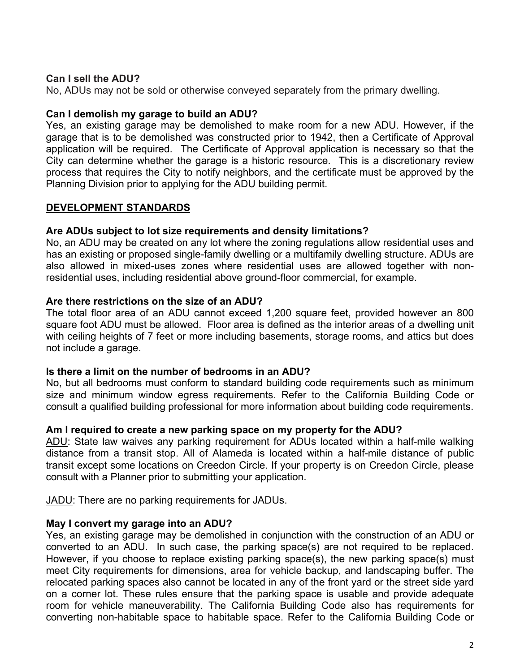## **Can I sell the ADU?**

No, ADUs may not be sold or otherwise conveyed separately from the primary dwelling.

#### **Can I demolish my garage to build an ADU?**

Yes, an existing garage may be demolished to make room for a new ADU. However, if the garage that is to be demolished was constructed prior to 1942, then a Certificate of Approval application will be required. The Certificate of Approval application is necessary so that the City can determine whether the garage is a historic resource. This is a discretionary review process that requires the City to notify neighbors, and the certificate must be approved by the Planning Division prior to applying for the ADU building permit.

#### **DEVELOPMENT STANDARDS**

#### **Are ADUs subject to lot size requirements and density limitations?**

No, an ADU may be created on any lot where the zoning regulations allow residential uses and has an existing or proposed single-family dwelling or a multifamily dwelling structure. ADUs are also allowed in mixed-uses zones where residential uses are allowed together with nonresidential uses, including residential above ground-floor commercial, for example.

#### **Are there restrictions on the size of an ADU?**

The total floor area of an ADU cannot exceed 1,200 square feet, provided however an 800 square foot ADU must be allowed. Floor area is defined as the interior areas of a dwelling unit with ceiling heights of 7 feet or more including basements, storage rooms, and attics but does not include a garage.

#### **Is there a limit on the number of bedrooms in an ADU?**

No, but all bedrooms must conform to standard building code requirements such as minimum size and minimum window egress requirements. Refer to the California Building Code or consult a qualified building professional for more information about building code requirements.

## **Am I required to create a new parking space on my property for the ADU?**

ADU: State law waives any parking requirement for ADUs located within a half-mile walking distance from a transit stop. All of Alameda is located within a half-mile distance of public transit except some locations on Creedon Circle. If your property is on Creedon Circle, please consult with a Planner prior to submitting your application.

JADU: There are no parking requirements for JADUs.

## **May I convert my garage into an ADU?**

Yes, an existing garage may be demolished in conjunction with the construction of an ADU or converted to an ADU. In such case, the parking space(s) are not required to be replaced. However, if you choose to replace existing parking space(s), the new parking space(s) must meet City requirements for dimensions, area for vehicle backup, and landscaping buffer. The relocated parking spaces also cannot be located in any of the front yard or the street side yard on a corner lot. These rules ensure that the parking space is usable and provide adequate room for vehicle maneuverability. The California Building Code also has requirements for converting non-habitable space to habitable space. Refer to the California Building Code or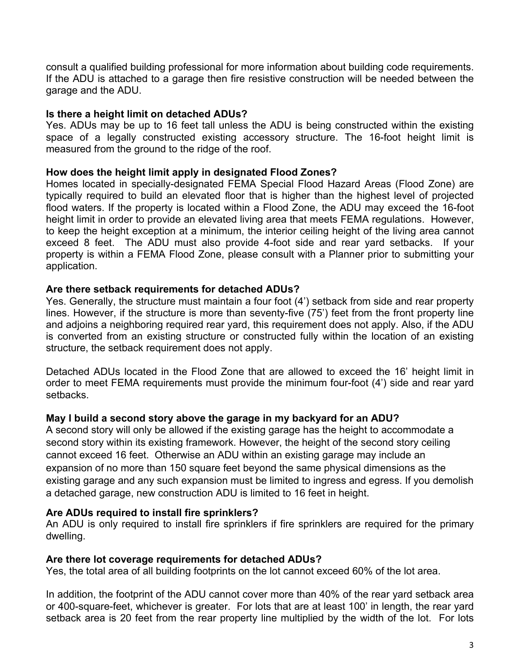consult a qualified building professional for more information about building code requirements. If the ADU is attached to a garage then fire resistive construction will be needed between the garage and the ADU.

## **Is there a height limit on detached ADUs?**

Yes. ADUs may be up to 16 feet tall unless the ADU is being constructed within the existing space of a legally constructed existing accessory structure. The 16-foot height limit is measured from the ground to the ridge of the roof.

## **How does the height limit apply in designated Flood Zones?**

Homes located in specially-designated FEMA Special Flood Hazard Areas (Flood Zone) are typically required to build an elevated floor that is higher than the highest level of projected flood waters. If the property is located within a Flood Zone, the ADU may exceed the 16-foot height limit in order to provide an elevated living area that meets FEMA regulations. However, to keep the height exception at a minimum, the interior ceiling height of the living area cannot exceed 8 feet. The ADU must also provide 4-foot side and rear yard setbacks. If your property is within a FEMA Flood Zone, please consult with a Planner prior to submitting your application.

## **Are there setback requirements for detached ADUs?**

Yes. Generally, the structure must maintain a four foot (4') setback from side and rear property lines. However, if the structure is more than seventy-five (75') feet from the front property line and adjoins a neighboring required rear yard, this requirement does not apply. Also, if the ADU is converted from an existing structure or constructed fully within the location of an existing structure, the setback requirement does not apply.

Detached ADUs located in the Flood Zone that are allowed to exceed the 16' height limit in order to meet FEMA requirements must provide the minimum four-foot (4') side and rear yard setbacks.

## **May I build a second story above the garage in my backyard for an ADU?**

A second story will only be allowed if the existing garage has the height to accommodate a second story within its existing framework. However, the height of the second story ceiling cannot exceed 16 feet. Otherwise an ADU within an existing garage may include an expansion of no more than 150 square feet beyond the same physical dimensions as the existing garage and any such expansion must be limited to ingress and egress. If you demolish a detached garage, new construction ADU is limited to 16 feet in height.

## **Are ADUs required to install fire sprinklers?**

An ADU is only required to install fire sprinklers if fire sprinklers are required for the primary dwelling.

## **Are there lot coverage requirements for detached ADUs?**

Yes, the total area of all building footprints on the lot cannot exceed 60% of the lot area.

In addition, the footprint of the ADU cannot cover more than 40% of the rear yard setback area or 400-square-feet, whichever is greater. For lots that are at least 100' in length, the rear yard setback area is 20 feet from the rear property line multiplied by the width of the lot. For lots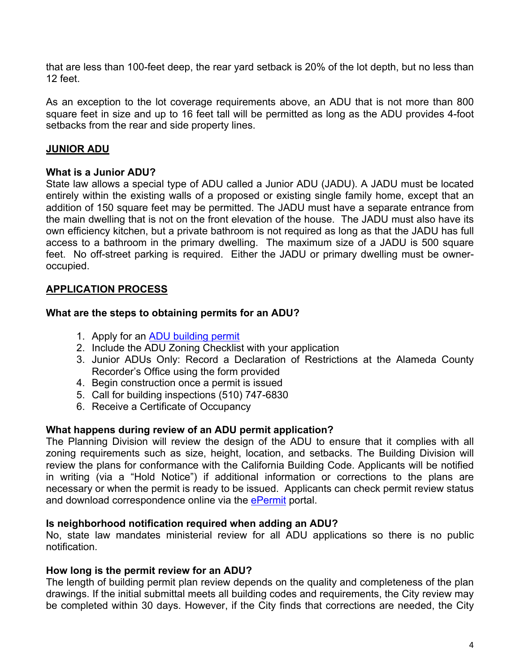that are less than 100-feet deep, the rear yard setback is 20% of the lot depth, but no less than 12 feet.

As an exception to the lot coverage requirements above, an ADU that is not more than 800 square feet in size and up to 16 feet tall will be permitted as long as the ADU provides 4-foot setbacks from the rear and side property lines.

## **JUNIOR ADU**

## **What is a Junior ADU?**

State law allows a special type of ADU called a Junior ADU (JADU). A JADU must be located entirely within the existing walls of a proposed or existing single family home, except that an addition of 150 square feet may be permitted. The JADU must have a separate entrance from the main dwelling that is not on the front elevation of the house. The JADU must also have its own efficiency kitchen, but a private bathroom is not required as long as that the JADU has full access to a bathroom in the primary dwelling. The maximum size of a JADU is 500 square feet. No off-street parking is required. Either the JADU or primary dwelling must be owneroccupied.

## **APPLICATION PROCESS**

## **What are the steps to obtaining permits for an ADU?**

- 1. Apply for an ADU building permit
- 2. Include the ADU Zoning Checklist with your application
- 3. Junior ADUs Only: Record a Declaration of Restrictions at the Alameda County Recorder's Office using the form provided
- 4. Begin construction once a permit is issued
- 5. Call for building inspections (510) 747-6830
- 6. Receive a Certificate of Occupancy

## **What happens during review of an ADU permit application?**

The Planning Division will review the design of the ADU to ensure that it complies with all zoning requirements such as size, height, location, and setbacks. The Building Division will review the plans for conformance with the California Building Code. Applicants will be notified in writing (via a "Hold Notice") if additional information or corrections to the plans are necessary or when the permit is ready to be issued. Applicants can check permit review status and download correspondence online via the ePermit portal.

## **Is neighborhood notification required when adding an ADU?**

No, state law mandates ministerial review for all ADU applications so there is no public notification.

## **How long is the permit review for an ADU?**

The length of building permit plan review depends on the quality and completeness of the plan drawings. If the initial submittal meets all building codes and requirements, the City review may be completed within 30 days. However, if the City finds that corrections are needed, the City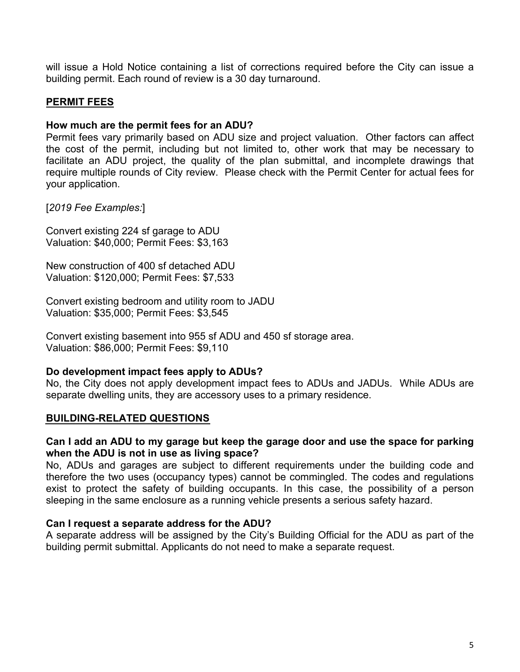will issue a Hold Notice containing a list of corrections required before the City can issue a building permit. Each round of review is a 30 day turnaround.

## **PERMIT FEES**

#### **How much are the permit fees for an ADU?**

Permit fees vary primarily based on ADU size and project valuation. Other factors can affect the cost of the permit, including but not limited to, other work that may be necessary to facilitate an ADU project, the quality of the plan submittal, and incomplete drawings that require multiple rounds of City review. Please check with the Permit Center for actual fees for your application.

## [*2019 Fee Examples:*]

Convert existing 224 sf garage to ADU Valuation: \$40,000; Permit Fees: \$3,163

New construction of 400 sf detached ADU Valuation: \$120,000; Permit Fees: \$7,533

Convert existing bedroom and utility room to JADU Valuation: \$35,000; Permit Fees: \$3,545

Convert existing basement into 955 sf ADU and 450 sf storage area. Valuation: \$86,000; Permit Fees: \$9,110

## **Do development impact fees apply to ADUs?**

No, the City does not apply development impact fees to ADUs and JADUs. While ADUs are separate dwelling units, they are accessory uses to a primary residence.

## **BUILDING-RELATED QUESTIONS**

#### **Can I add an ADU to my garage but keep the garage door and use the space for parking when the ADU is not in use as living space?**

No, ADUs and garages are subject to different requirements under the building code and therefore the two uses (occupancy types) cannot be commingled. The codes and regulations exist to protect the safety of building occupants. In this case, the possibility of a person sleeping in the same enclosure as a running vehicle presents a serious safety hazard.

#### **Can I request a separate address for the ADU?**

A separate address will be assigned by the City's Building Official for the ADU as part of the building permit submittal. Applicants do not need to make a separate request.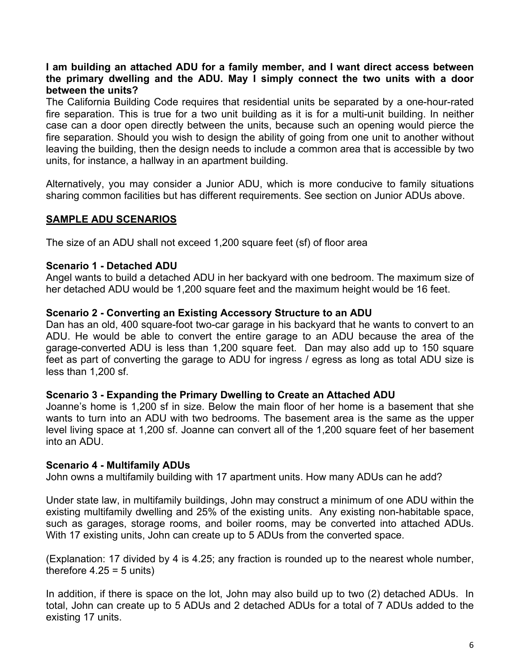## **I am building an attached ADU for a family member, and I want direct access between the primary dwelling and the ADU. May I simply connect the two units with a door between the units?**

The California Building Code requires that residential units be separated by a one-hour-rated fire separation. This is true for a two unit building as it is for a multi-unit building. In neither case can a door open directly between the units, because such an opening would pierce the fire separation. Should you wish to design the ability of going from one unit to another without leaving the building, then the design needs to include a common area that is accessible by two units, for instance, a hallway in an apartment building.

Alternatively, you may consider a Junior ADU, which is more conducive to family situations sharing common facilities but has different requirements. See section on Junior ADUs above.

## **SAMPLE ADU SCENARIOS**

The size of an ADU shall not exceed 1,200 square feet (sf) of floor area

## **Scenario 1 - Detached ADU**

Angel wants to build a detached ADU in her backyard with one bedroom. The maximum size of her detached ADU would be 1,200 square feet and the maximum height would be 16 feet.

## **Scenario 2 - Converting an Existing Accessory Structure to an ADU**

Dan has an old, 400 square-foot two-car garage in his backyard that he wants to convert to an ADU. He would be able to convert the entire garage to an ADU because the area of the garage-converted ADU is less than 1,200 square feet. Dan may also add up to 150 square feet as part of converting the garage to ADU for ingress / egress as long as total ADU size is less than 1,200 sf.

## **Scenario 3 - Expanding the Primary Dwelling to Create an Attached ADU**

Joanne's home is 1,200 sf in size. Below the main floor of her home is a basement that she wants to turn into an ADU with two bedrooms. The basement area is the same as the upper level living space at 1,200 sf. Joanne can convert all of the 1,200 square feet of her basement into an ADU.

## **Scenario 4 - Multifamily ADUs**

John owns a multifamily building with 17 apartment units. How many ADUs can he add?

Under state law, in multifamily buildings, John may construct a minimum of one ADU within the existing multifamily dwelling and 25% of the existing units. Any existing non-habitable space, such as garages, storage rooms, and boiler rooms, may be converted into attached ADUs. With 17 existing units, John can create up to 5 ADUs from the converted space.

(Explanation: 17 divided by 4 is 4.25; any fraction is rounded up to the nearest whole number, therefore  $4.25 = 5$  units)

In addition, if there is space on the lot, John may also build up to two (2) detached ADUs. In total, John can create up to 5 ADUs and 2 detached ADUs for a total of 7 ADUs added to the existing 17 units.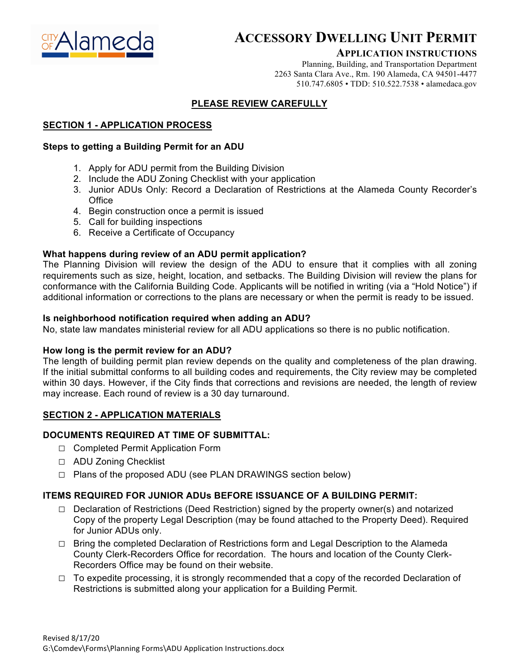

## **ACCESSORY DWELLING UNIT PERMIT**

#### **APPLICATION INSTRUCTIONS**

Planning, Building, and Transportation Department 2263 Santa Clara Ave., Rm. 190 Alameda, CA 94501-4477 510.747.6805 • TDD: 510.522.7538 • alamedaca.gov

#### **PLEASE REVIEW CAREFULLY**

#### **SECTION 1 - APPLICATION PROCESS**

#### **Steps to getting a Building Permit for an ADU**

- 1. Apply for ADU permit from the Building Division
- 2. Include the ADU Zoning Checklist with your application
- 3. Junior ADUs Only: Record a Declaration of Restrictions at the Alameda County Recorder's **Office**
- 4. Begin construction once a permit is issued
- 5. Call for building inspections
- 6. Receive a Certificate of Occupancy

#### **What happens during review of an ADU permit application?**

The Planning Division will review the design of the ADU to ensure that it complies with all zoning requirements such as size, height, location, and setbacks. The Building Division will review the plans for conformance with the California Building Code. Applicants will be notified in writing (via a "Hold Notice") if additional information or corrections to the plans are necessary or when the permit is ready to be issued.

#### **Is neighborhood notification required when adding an ADU?**

No, state law mandates ministerial review for all ADU applications so there is no public notification.

#### **How long is the permit review for an ADU?**

The length of building permit plan review depends on the quality and completeness of the plan drawing. If the initial submittal conforms to all building codes and requirements, the City review may be completed within 30 days. However, if the City finds that corrections and revisions are needed, the length of review may increase. Each round of review is a 30 day turnaround.

#### **SECTION 2 - APPLICATION MATERIALS**

#### **DOCUMENTS REQUIRED AT TIME OF SUBMITTAL:**

- **□** Completed Permit Application Form
- **□** ADU Zoning Checklist
- **□** Plans of the proposed ADU (see PLAN DRAWINGS section below)

## **ITEMS REQUIRED FOR JUNIOR ADUs BEFORE ISSUANCE OF A BUILDING PERMIT:**

- **□** Declaration of Restrictions (Deed Restriction) signed by the property owner(s) and notarized Copy of the property Legal Description (may be found attached to the Property Deed). Required for Junior ADUs only.
- **□** Bring the completed Declaration of Restrictions form and Legal Description to the Alameda County Clerk-Recorders Office for recordation. The hours and location of the County Clerk-Recorders Office may be found on their website.
- **□** To expedite processing, it is strongly recommended that a copy of the recorded Declaration of Restrictions is submitted along your application for a Building Permit.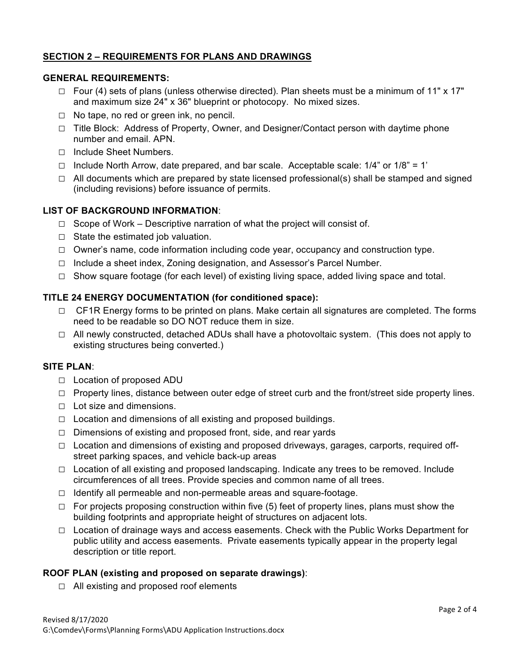#### **SECTION 2 – REQUIREMENTS FOR PLANS AND DRAWINGS**

#### **GENERAL REQUIREMENTS:**

- **□** Four (4) sets of plans (unless otherwise directed). Plan sheets must be a minimum of 11" x 17" and maximum size 24" x 36" blueprint or photocopy. No mixed sizes.
- **□** No tape, no red or green ink, no pencil.
- **□** Title Block: Address of Property, Owner, and Designer/Contact person with daytime phone number and email. APN.
- **□** Include Sheet Numbers.
- **□** Include North Arrow, date prepared, and bar scale. Acceptable scale: 1/4" or 1/8" = 1'
- **□** All documents which are prepared by state licensed professional(s) shall be stamped and signed (including revisions) before issuance of permits.

#### **LIST OF BACKGROUND INFORMATION**:

- **□** Scope of Work Descriptive narration of what the project will consist of.
- **□** State the estimated job valuation.
- **□** Owner's name, code information including code year, occupancy and construction type.
- **□** Include a sheet index, Zoning designation, and Assessor's Parcel Number.
- **□** Show square footage (for each level) of existing living space, added living space and total.

#### **TITLE 24 ENERGY DOCUMENTATION (for conditioned space):**

- **□** CF1R Energy forms to be printed on plans. Make certain all signatures are completed. The forms need to be readable so DO NOT reduce them in size.
- **□** All newly constructed, detached ADUs shall have a photovoltaic system. (This does not apply to existing structures being converted.)

#### **SITE PLAN**:

- **□** Location of proposed ADU
- □ Property lines, distance between outer edge of street curb and the front/street side property lines.
- **□** Lot size and dimensions.
- **□** Location and dimensions of all existing and proposed buildings.
- **□** Dimensions of existing and proposed front, side, and rear yards
- **□** Location and dimensions of existing and proposed driveways, garages, carports, required offstreet parking spaces, and vehicle back-up areas
- **□** Location of all existing and proposed landscaping. Indicate any trees to be removed. Include circumferences of all trees. Provide species and common name of all trees.
- **□** Identify all permeable and non-permeable areas and square-footage.
- **□** For projects proposing construction within five (5) feet of property lines, plans must show the building footprints and appropriate height of structures on adjacent lots.
- **□** Location of drainage ways and access easements. Check with the Public Works Department for public utility and access easements. Private easements typically appear in the property legal description or title report.

#### **ROOF PLAN (existing and proposed on separate drawings)**:

**□** All existing and proposed roof elements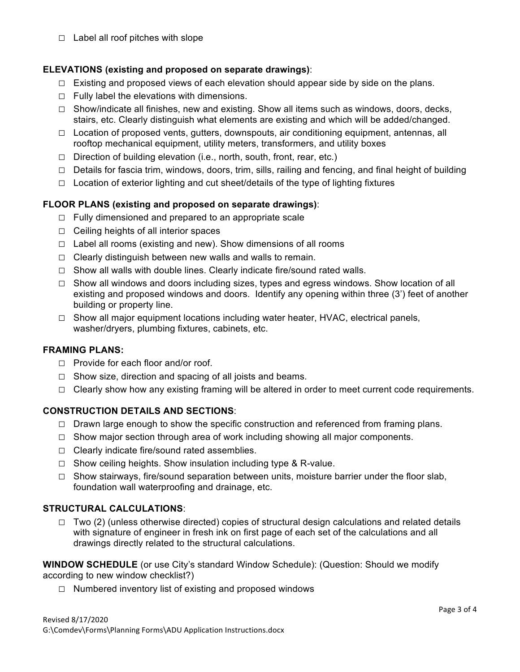**□** Label all roof pitches with slope

#### **ELEVATIONS (existing and proposed on separate drawings)**:

- **□** Existing and proposed views of each elevation should appear side by side on the plans.
- **□** Fully label the elevations with dimensions.
- **□** Show/indicate all finishes, new and existing. Show all items such as windows, doors, decks, stairs, etc. Clearly distinguish what elements are existing and which will be added/changed.
- **□** Location of proposed vents, gutters, downspouts, air conditioning equipment, antennas, all rooftop mechanical equipment, utility meters, transformers, and utility boxes
- **□** Direction of building elevation (i.e., north, south, front, rear, etc.)
- **□** Details for fascia trim, windows, doors, trim, sills, railing and fencing, and final height of building
- **□** Location of exterior lighting and cut sheet/details of the type of lighting fixtures

## **FLOOR PLANS (existing and proposed on separate drawings)**:

- **□** Fully dimensioned and prepared to an appropriate scale
- **□** Ceiling heights of all interior spaces
- **□** Label all rooms (existing and new). Show dimensions of all rooms
- **□** Clearly distinguish between new walls and walls to remain.
- **□** Show all walls with double lines. Clearly indicate fire/sound rated walls.
- **□** Show all windows and doors including sizes, types and egress windows. Show location of all existing and proposed windows and doors. Identify any opening within three (3') feet of another building or property line.
- **□** Show all major equipment locations including water heater, HVAC, electrical panels, washer/dryers, plumbing fixtures, cabinets, etc.

#### **FRAMING PLANS:**

- **□** Provide for each floor and/or roof.
- **□** Show size, direction and spacing of all joists and beams.
- **□** Clearly show how any existing framing will be altered in order to meet current code requirements.

#### **CONSTRUCTION DETAILS AND SECTIONS**:

- □ Drawn large enough to show the specific construction and referenced from framing plans.
- **□** Show major section through area of work including showing all major components.
- **□** Clearly indicate fire/sound rated assemblies.
- **□** Show ceiling heights. Show insulation including type & R-value.
- **□** Show stairways, fire/sound separation between units, moisture barrier under the floor slab, foundation wall waterproofing and drainage, etc.

#### **STRUCTURAL CALCULATIONS**:

**□** Two (2) (unless otherwise directed) copies of structural design calculations and related details with signature of engineer in fresh ink on first page of each set of the calculations and all drawings directly related to the structural calculations.

**WINDOW SCHEDULE** (or use City's standard Window Schedule): (Question: Should we modify according to new window checklist?)

**□** Numbered inventory list of existing and proposed windows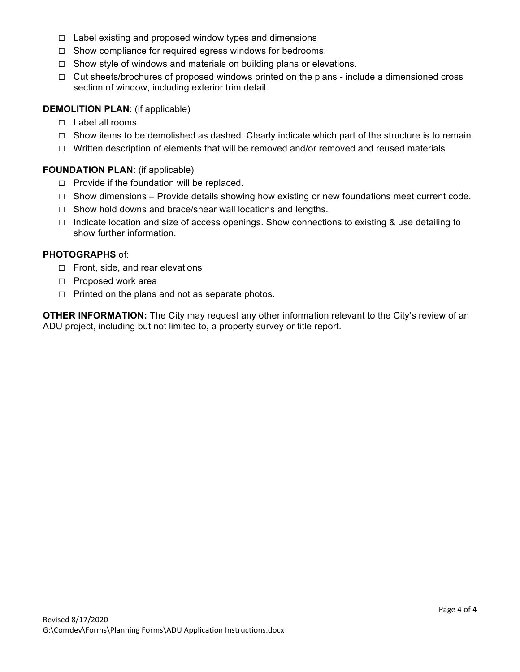- **□** Label existing and proposed window types and dimensions
- **□** Show compliance for required egress windows for bedrooms.
- **□** Show style of windows and materials on building plans or elevations.
- **□** Cut sheets/brochures of proposed windows printed on the plans include a dimensioned cross section of window, including exterior trim detail.

#### **DEMOLITION PLAN**: (if applicable)

- **□** Label all rooms.
- **□** Show items to be demolished as dashed. Clearly indicate which part of the structure is to remain.
- **□** Written description of elements that will be removed and/or removed and reused materials

#### **FOUNDATION PLAN**: (if applicable)

- **□** Provide if the foundation will be replaced.
- **□** Show dimensions Provide details showing how existing or new foundations meet current code.
- **□** Show hold downs and brace/shear wall locations and lengths.
- **□** Indicate location and size of access openings. Show connections to existing & use detailing to show further information.

#### **PHOTOGRAPHS** of:

- **□** Front, side, and rear elevations
- **□** Proposed work area
- **□** Printed on the plans and not as separate photos.

**OTHER INFORMATION:** The City may request any other information relevant to the City's review of an ADU project, including but not limited to, a property survey or title report.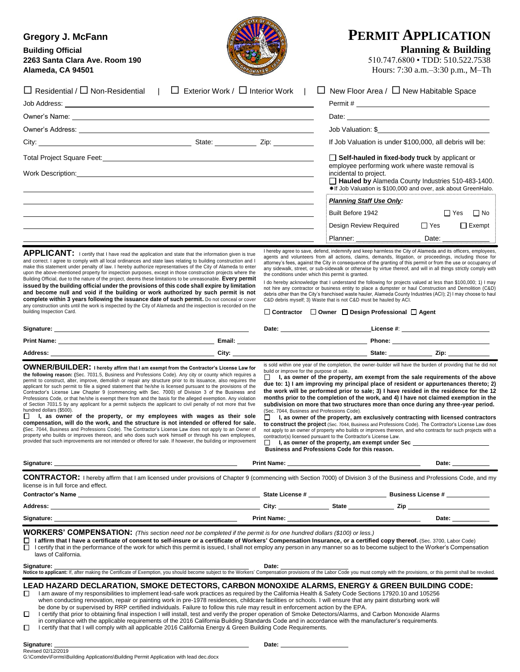| <b>Gregory J. McFann</b><br><b>Building Official</b><br>2263 Santa Clara Ave. Room 190<br>Alameda, CA 94501                                                                                                                                                                                                                                                                                                                                                                                                                                                                                                                                                                                                                                                                                                                                                                                                                                                                                                                                                                                                                                                                                                                                                                                                         |                                                                                          |                                                                                                                          | <b>PERMIT APPLICATION</b><br><b>Planning &amp; Building</b><br>510.747.6800 · TDD: 510.522.7538<br>Hours: 7:30 a.m.-3:30 p.m., M-Th                                                                                                                                                                                                                                                                                                                                                                                                                                                                                                                                                                                                                                                                                                                 |
|---------------------------------------------------------------------------------------------------------------------------------------------------------------------------------------------------------------------------------------------------------------------------------------------------------------------------------------------------------------------------------------------------------------------------------------------------------------------------------------------------------------------------------------------------------------------------------------------------------------------------------------------------------------------------------------------------------------------------------------------------------------------------------------------------------------------------------------------------------------------------------------------------------------------------------------------------------------------------------------------------------------------------------------------------------------------------------------------------------------------------------------------------------------------------------------------------------------------------------------------------------------------------------------------------------------------|------------------------------------------------------------------------------------------|--------------------------------------------------------------------------------------------------------------------------|-----------------------------------------------------------------------------------------------------------------------------------------------------------------------------------------------------------------------------------------------------------------------------------------------------------------------------------------------------------------------------------------------------------------------------------------------------------------------------------------------------------------------------------------------------------------------------------------------------------------------------------------------------------------------------------------------------------------------------------------------------------------------------------------------------------------------------------------------------|
| $\Box$ Residential / $\Box$ Non-Residential   $\Box$ Exterior Work / $\Box$ Interior Work                                                                                                                                                                                                                                                                                                                                                                                                                                                                                                                                                                                                                                                                                                                                                                                                                                                                                                                                                                                                                                                                                                                                                                                                                           | $\Box$<br>$\mathbf{L}$                                                                   |                                                                                                                          | New Floor Area / $\Box$ New Habitable Space                                                                                                                                                                                                                                                                                                                                                                                                                                                                                                                                                                                                                                                                                                                                                                                                         |
|                                                                                                                                                                                                                                                                                                                                                                                                                                                                                                                                                                                                                                                                                                                                                                                                                                                                                                                                                                                                                                                                                                                                                                                                                                                                                                                     |                                                                                          |                                                                                                                          |                                                                                                                                                                                                                                                                                                                                                                                                                                                                                                                                                                                                                                                                                                                                                                                                                                                     |
| Owner's Name: <u>contract and contract and contract and contract and contract and contract and contract and contract and contract and contract and contract and contract and contract and contract and contract and contract and</u>                                                                                                                                                                                                                                                                                                                                                                                                                                                                                                                                                                                                                                                                                                                                                                                                                                                                                                                                                                                                                                                                                |                                                                                          |                                                                                                                          | Job Valuation: \$                                                                                                                                                                                                                                                                                                                                                                                                                                                                                                                                                                                                                                                                                                                                                                                                                                   |
|                                                                                                                                                                                                                                                                                                                                                                                                                                                                                                                                                                                                                                                                                                                                                                                                                                                                                                                                                                                                                                                                                                                                                                                                                                                                                                                     |                                                                                          |                                                                                                                          | If Job Valuation is under \$100,000, all debris will be:                                                                                                                                                                                                                                                                                                                                                                                                                                                                                                                                                                                                                                                                                                                                                                                            |
|                                                                                                                                                                                                                                                                                                                                                                                                                                                                                                                                                                                                                                                                                                                                                                                                                                                                                                                                                                                                                                                                                                                                                                                                                                                                                                                     |                                                                                          |                                                                                                                          |                                                                                                                                                                                                                                                                                                                                                                                                                                                                                                                                                                                                                                                                                                                                                                                                                                                     |
|                                                                                                                                                                                                                                                                                                                                                                                                                                                                                                                                                                                                                                                                                                                                                                                                                                                                                                                                                                                                                                                                                                                                                                                                                                                                                                                     |                                                                                          | incidental to project.                                                                                                   | $\Box$ Self-hauled in fixed-body truck by applicant or<br>employee performing work where waste removal is<br>Hauled by Alameda County Industries 510-483-1400.<br>*If Job Valuation is \$100,000 and over, ask about GreenHalo.                                                                                                                                                                                                                                                                                                                                                                                                                                                                                                                                                                                                                     |
|                                                                                                                                                                                                                                                                                                                                                                                                                                                                                                                                                                                                                                                                                                                                                                                                                                                                                                                                                                                                                                                                                                                                                                                                                                                                                                                     |                                                                                          | <b>Planning Staff Use Only:</b>                                                                                          |                                                                                                                                                                                                                                                                                                                                                                                                                                                                                                                                                                                                                                                                                                                                                                                                                                                     |
|                                                                                                                                                                                                                                                                                                                                                                                                                                                                                                                                                                                                                                                                                                                                                                                                                                                                                                                                                                                                                                                                                                                                                                                                                                                                                                                     |                                                                                          | Built Before 1942                                                                                                        | $\Box$ Yes<br>$\Box$ No                                                                                                                                                                                                                                                                                                                                                                                                                                                                                                                                                                                                                                                                                                                                                                                                                             |
|                                                                                                                                                                                                                                                                                                                                                                                                                                                                                                                                                                                                                                                                                                                                                                                                                                                                                                                                                                                                                                                                                                                                                                                                                                                                                                                     |                                                                                          | Design Review Required                                                                                                   | $\Box$ Exempt<br>$\Box$ Yes                                                                                                                                                                                                                                                                                                                                                                                                                                                                                                                                                                                                                                                                                                                                                                                                                         |
|                                                                                                                                                                                                                                                                                                                                                                                                                                                                                                                                                                                                                                                                                                                                                                                                                                                                                                                                                                                                                                                                                                                                                                                                                                                                                                                     |                                                                                          |                                                                                                                          | Date:                                                                                                                                                                                                                                                                                                                                                                                                                                                                                                                                                                                                                                                                                                                                                                                                                                               |
| make this statement under penalty of law. I hereby authorize representatives of the City of Alameda to enter<br>upon the above-mentioned property for inspection purposes, except in those construction projects where the<br>Building Official, due to the nature of the project, deems these limitations to be unreasonable. Every permit<br>issued by the building official under the provisions of this code shall expire by limitation<br>and become null and void if the building or work authorized by such permit is not<br>complete within 3 years following the issuance date of such permit. Do not conceal or cover<br>any construction units until the work is inspected by the City of Alameda and the inspection is recorded on the<br>building Inspection Card.                                                                                                                                                                                                                                                                                                                                                                                                                                                                                                                                     | the conditions under which this permit is granted.                                       | C&D debris myself; 3) Waste that is not C&D must be hauled by ACI.<br>□ Contractor □ Owner □ Design Professional □ Agent | attorney's fees, against the City in consequence of the granting of this permit or from the use or occupancy of<br>any sidewalk, street, or sub-sidewalk or otherwise by virtue thereof, and will in all things strictly comply with<br>I do hereby acknowledge that I understand the following for projects valued at less than \$100,000; 1) I may<br>not hire any contractor or business entity to place a dumpster or haul Construction and Demolition (C&D)<br>debris other than the City's franchised waste hauler, Alameda County Industries (ACI); 2) I may choose to haul                                                                                                                                                                                                                                                                  |
|                                                                                                                                                                                                                                                                                                                                                                                                                                                                                                                                                                                                                                                                                                                                                                                                                                                                                                                                                                                                                                                                                                                                                                                                                                                                                                                     |                                                                                          |                                                                                                                          |                                                                                                                                                                                                                                                                                                                                                                                                                                                                                                                                                                                                                                                                                                                                                                                                                                                     |
|                                                                                                                                                                                                                                                                                                                                                                                                                                                                                                                                                                                                                                                                                                                                                                                                                                                                                                                                                                                                                                                                                                                                                                                                                                                                                                                     |                                                                                          |                                                                                                                          |                                                                                                                                                                                                                                                                                                                                                                                                                                                                                                                                                                                                                                                                                                                                                                                                                                                     |
|                                                                                                                                                                                                                                                                                                                                                                                                                                                                                                                                                                                                                                                                                                                                                                                                                                                                                                                                                                                                                                                                                                                                                                                                                                                                                                                     |                                                                                          |                                                                                                                          | is sold within one year of the completion, the owner-builder will have the burden of providing that he did not                                                                                                                                                                                                                                                                                                                                                                                                                                                                                                                                                                                                                                                                                                                                      |
| OWNER/BUILDER: I hereby affirm that I am exempt from the Contractor's License Law for<br>the following reason: (Sec. 7031.5, Business and Professions Code). Any city or county which requires a<br>permit to construct, alter, improve, demolish or repair any structure prior to its issuance, also requires the<br>applicant for such permit to file a signed statement that he/she is licensed pursuant to the provisions of the<br>Contractor's License Law Chapter 9 (commencing with Sec. 7000) of Division 3 of the Business and<br>Professions Code, or that he/she is exempt there from and the basis for the alleged exemption. Any violation<br>of Section 7031.5 by any applicant for a permit subjects the applicant to civil penalty of not more that five<br>hundred dollars (\$500).<br>$\Box$ I, as owner of the property, or my employees with wages as their sole<br>compensation, will do the work, and the structure is not intended or offered for sale.<br>(Sec. 7044, Business and Professions Code). The Contractor's License Law does not apply to an Owner of<br>property who builds or improves thereon, and who does such work himself or through his own employees,<br>provided that such improvements are not intended or offered for sale. If however, the building or improvement | build or improve for the purpose of sale.<br>(Sec. 7044, Business and Professions Code). | contractor(s) licensed pursuant to the Contractor's License Law.<br>Business and Professions Code for this reason.       | $\Box$ I, as owner of the property, am exempt from the sale requirements of the above<br>due to: 1) I am improving my principal place of resident or appurtenances thereto; 2)<br>the work will be performed prior to sale; 3) I have resided in the residence for the 12<br>months prior to the completion of the work, and 4) I have not claimed exemption in the<br>subdivision on more that two structures more than once during any three-year period.<br>$\Box$ I, as owner of the property, am exclusively contracting with licensed contractors<br>to construct the project (Sec. 7044, Business and Professions Code). The Contractor's License Law does<br>not apply to an owner of property who builds or improves thereon, and who contracts for such projects with a<br>$\Box$ I, as owner of the property, am exempt under Sec $\Box$ |
| Signature:                                                                                                                                                                                                                                                                                                                                                                                                                                                                                                                                                                                                                                                                                                                                                                                                                                                                                                                                                                                                                                                                                                                                                                                                                                                                                                          |                                                                                          |                                                                                                                          | Date:                                                                                                                                                                                                                                                                                                                                                                                                                                                                                                                                                                                                                                                                                                                                                                                                                                               |
| CONTRACTOR: I hereby affirm that I am licensed under provisions of Chapter 9 (commencing with Section 7000) of Division 3 of the Business and Professions Code, and my                                                                                                                                                                                                                                                                                                                                                                                                                                                                                                                                                                                                                                                                                                                                                                                                                                                                                                                                                                                                                                                                                                                                              |                                                                                          |                                                                                                                          |                                                                                                                                                                                                                                                                                                                                                                                                                                                                                                                                                                                                                                                                                                                                                                                                                                                     |
| license is in full force and effect.                                                                                                                                                                                                                                                                                                                                                                                                                                                                                                                                                                                                                                                                                                                                                                                                                                                                                                                                                                                                                                                                                                                                                                                                                                                                                |                                                                                          |                                                                                                                          |                                                                                                                                                                                                                                                                                                                                                                                                                                                                                                                                                                                                                                                                                                                                                                                                                                                     |
|                                                                                                                                                                                                                                                                                                                                                                                                                                                                                                                                                                                                                                                                                                                                                                                                                                                                                                                                                                                                                                                                                                                                                                                                                                                                                                                     |                                                                                          |                                                                                                                          |                                                                                                                                                                                                                                                                                                                                                                                                                                                                                                                                                                                                                                                                                                                                                                                                                                                     |
| <u>and the contract of the contract of the contract of the contract of the contract of the contract of the contract of the contract of the contract of the contract of the contract of the contract of the contract of the contr</u><br>Signature: _____                                                                                                                                                                                                                                                                                                                                                                                                                                                                                                                                                                                                                                                                                                                                                                                                                                                                                                                                                                                                                                                            |                                                                                          |                                                                                                                          | Date:                                                                                                                                                                                                                                                                                                                                                                                                                                                                                                                                                                                                                                                                                                                                                                                                                                               |
| <b>WORKERS' COMPENSATION:</b> (This section need not be completed if the permit is for one hundred dollars (\$100) or less.)<br>I affirm that I have a certificate of consent to self-insure or a certificate of Workers' Compensation Insurance, or a certified copy thereof. (Sec. 3700, Labor Code)<br>□<br>I certify that in the performance of the work for which this permit is issued, I shall not employ any person in any manner so as to become subject to the Worker's Compensation<br>□<br>laws of California.                                                                                                                                                                                                                                                                                                                                                                                                                                                                                                                                                                                                                                                                                                                                                                                          |                                                                                          |                                                                                                                          |                                                                                                                                                                                                                                                                                                                                                                                                                                                                                                                                                                                                                                                                                                                                                                                                                                                     |
|                                                                                                                                                                                                                                                                                                                                                                                                                                                                                                                                                                                                                                                                                                                                                                                                                                                                                                                                                                                                                                                                                                                                                                                                                                                                                                                     |                                                                                          |                                                                                                                          |                                                                                                                                                                                                                                                                                                                                                                                                                                                                                                                                                                                                                                                                                                                                                                                                                                                     |
| LEAD HAZARD DECLARATION, SMOKE DETECTORS, CARBON MONOXIDE ALARMS, ENERGY & GREEN BUILDING CODE:<br>I am aware of my responsibilities to implement lead-safe work practices as required by the California Health & Safety Code Sections 17920.10 and 105256<br>□<br>when conducting renovation, repair or painting work in pre-1978 residences, childcare facilities or schools. I will ensure that any paint disturbing work will<br>be done by or supervised by RRP certified individuals. Failure to follow this rule may result in enforcement action by the EPA.                                                                                                                                                                                                                                                                                                                                                                                                                                                                                                                                                                                                                                                                                                                                                |                                                                                          |                                                                                                                          |                                                                                                                                                                                                                                                                                                                                                                                                                                                                                                                                                                                                                                                                                                                                                                                                                                                     |

I certify that prior to obtaining final inspection I will install, test and verify the proper operation of Smoke Detectors/Alarms, and Carbon Monoxide Alarms  $\Box$ in compliance with the applicable requirements of the 2016 California Building Standards Code and in accordance with the manufacturer's requirements.

 $\Box$ I certify that that I will comply with all applicable 2016 California Energy & Green Building Code Requirements.

**Signature: Date:**

Revised 02/12/2019 G:\Comdev\Forms\Building Applications\Building Permit Application with lead dec.docx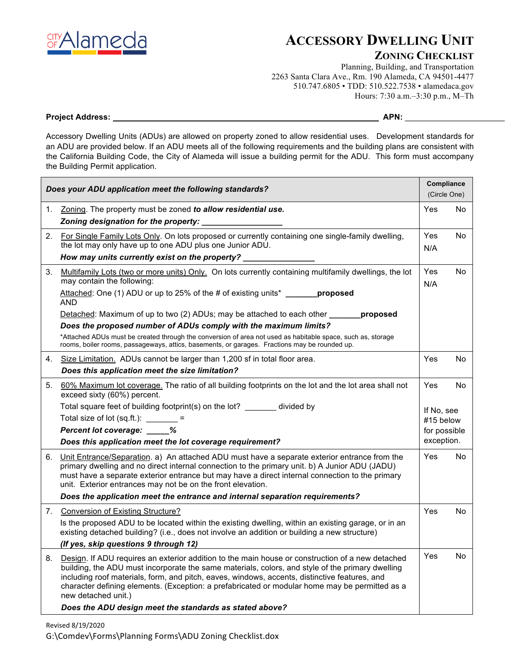

# **ACCESSORY DWELLING UNIT**

#### **ZONING CHECKLIST**

Planning, Building, and Transportation 2263 Santa Clara Ave., Rm. 190 Alameda, CA 94501-4477 510.747.6805 • TDD: 510.522.7538 • alamedaca.gov Hours: 7:30 a.m.–3:30 p.m., M–Th

#### **Project Address: APN:** \_\_\_\_\_\_\_\_\_\_\_\_\_\_\_\_\_\_\_\_\_\_\_

Accessory Dwelling Units (ADUs) are allowed on property zoned to allow residential uses. Development standards for an ADU are provided below. If an ADU meets all of the following requirements and the building plans are consistent with the California Building Code, the City of Alameda will issue a building permit for the ADU. This form must accompany the Building Permit application.

| Does your ADU application meet the following standards? |                                                                                                                                                                                                                                                                                                                                                                                                                                | Compliance<br>(Circle One) |     |
|---------------------------------------------------------|--------------------------------------------------------------------------------------------------------------------------------------------------------------------------------------------------------------------------------------------------------------------------------------------------------------------------------------------------------------------------------------------------------------------------------|----------------------------|-----|
| 1.                                                      | Zoning. The property must be zoned to allow residential use.<br>Zoning designation for the property:                                                                                                                                                                                                                                                                                                                           | Yes                        | No  |
|                                                         | 2. For Single Family Lots Only. On lots proposed or currently containing one single-family dwelling,<br>the lot may only have up to one ADU plus one Junior ADU.                                                                                                                                                                                                                                                               | Yes<br>N/A                 | No  |
|                                                         | How may units currently exist on the property?                                                                                                                                                                                                                                                                                                                                                                                 |                            |     |
| 3.                                                      | Multifamily Lots (two or more units) Only. On lots currently containing multifamily dwellings, the lot<br>may contain the following:                                                                                                                                                                                                                                                                                           | Yes<br>N/A                 | No. |
|                                                         | Attached: One (1) ADU or up to 25% of the # of existing units* ________ proposed<br><b>AND</b>                                                                                                                                                                                                                                                                                                                                 |                            |     |
|                                                         | Detached: Maximum of up to two (2) ADUs; may be attached to each other <b>proposed</b>                                                                                                                                                                                                                                                                                                                                         |                            |     |
|                                                         | Does the proposed number of ADUs comply with the maximum limits?                                                                                                                                                                                                                                                                                                                                                               |                            |     |
|                                                         | *Attached ADUs must be created through the conversion of area not used as habitable space, such as, storage<br>rooms, boiler rooms, passageways, attics, basements, or garages. Fractions may be rounded up.                                                                                                                                                                                                                   |                            |     |
|                                                         | 4. Size Limitation. ADUs cannot be larger than 1,200 sf in total floor area.                                                                                                                                                                                                                                                                                                                                                   | Yes                        | No  |
|                                                         | Does this application meet the size limitation?                                                                                                                                                                                                                                                                                                                                                                                |                            |     |
| 5.                                                      | 60% Maximum lot coverage. The ratio of all building footprints on the lot and the lot area shall not<br>exceed sixty (60%) percent.                                                                                                                                                                                                                                                                                            | Yes                        | No  |
|                                                         | Total square feet of building footprint(s) on the lot? _______ divided by                                                                                                                                                                                                                                                                                                                                                      | If No. see                 |     |
|                                                         | Total size of lot $(sq.fit.):$ =                                                                                                                                                                                                                                                                                                                                                                                               | #15 below                  |     |
|                                                         | Percent lot coverage: ____%                                                                                                                                                                                                                                                                                                                                                                                                    | for possible               |     |
|                                                         | Does this application meet the lot coverage requirement?                                                                                                                                                                                                                                                                                                                                                                       | exception.                 |     |
|                                                         | 6. Unit Entrance/Separation. a) An attached ADU must have a separate exterior entrance from the<br>primary dwelling and no direct internal connection to the primary unit. b) A Junior ADU (JADU)<br>must have a separate exterior entrance but may have a direct internal connection to the primary<br>unit. Exterior entrances may not be on the front elevation.                                                            | Yes                        | No. |
|                                                         | Does the application meet the entrance and internal separation requirements?                                                                                                                                                                                                                                                                                                                                                   |                            |     |
|                                                         | 7. Conversion of Existing Structure?                                                                                                                                                                                                                                                                                                                                                                                           | Yes                        | No  |
|                                                         | Is the proposed ADU to be located within the existing dwelling, within an existing garage, or in an<br>existing detached building? (i.e., does not involve an addition or building a new structure)                                                                                                                                                                                                                            |                            |     |
|                                                         | (If yes, skip questions 9 through 12)                                                                                                                                                                                                                                                                                                                                                                                          |                            |     |
| 8.                                                      | Design. If ADU requires an exterior addition to the main house or construction of a new detached<br>building, the ADU must incorporate the same materials, colors, and style of the primary dwelling<br>including roof materials, form, and pitch, eaves, windows, accents, distinctive features, and<br>character defining elements. (Exception: a prefabricated or modular home may be permitted as a<br>new detached unit.) | Yes                        | No  |
|                                                         | Does the ADU design meet the standards as stated above?                                                                                                                                                                                                                                                                                                                                                                        |                            |     |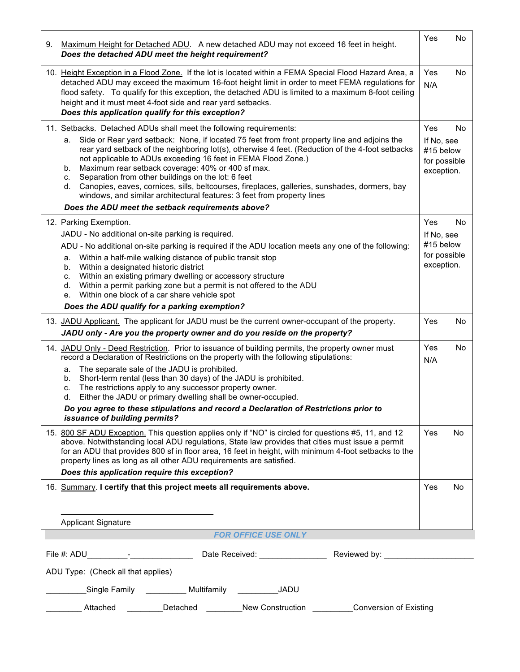| 9. Maximum Height for Detached ADU. A new detached ADU may not exceed 16 feet in height.<br>Does the detached ADU meet the height requirement?                                                                                                                                                                                                                                                                                                                                                                                                                                                                                        | Yes                                                          | No        |
|---------------------------------------------------------------------------------------------------------------------------------------------------------------------------------------------------------------------------------------------------------------------------------------------------------------------------------------------------------------------------------------------------------------------------------------------------------------------------------------------------------------------------------------------------------------------------------------------------------------------------------------|--------------------------------------------------------------|-----------|
| 10. Height Exception in a Flood Zone. If the lot is located within a FEMA Special Flood Hazard Area, a<br>detached ADU may exceed the maximum 16-foot height limit in order to meet FEMA regulations for<br>flood safety. To qualify for this exception, the detached ADU is limited to a maximum 8-foot ceiling<br>height and it must meet 4-foot side and rear yard setbacks.<br>Does this application qualify for this exception?                                                                                                                                                                                                  | Yes<br>N/A                                                   | <b>No</b> |
| 11. Setbacks. Detached ADUs shall meet the following requirements:                                                                                                                                                                                                                                                                                                                                                                                                                                                                                                                                                                    | Yes                                                          | <b>No</b> |
| Side or Rear yard setback: None, if located 75 feet from front property line and adjoins the<br>а.<br>rear yard setback of the neighboring lot(s), otherwise 4 feet. (Reduction of the 4-foot setbacks<br>not applicable to ADUs exceeding 16 feet in FEMA Flood Zone.)<br>Maximum rear setback coverage: 40% or 400 sf max.<br>b.<br>Separation from other buildings on the lot: 6 feet<br>C.<br>Canopies, eaves, cornices, sills, beltcourses, fireplaces, galleries, sunshades, dormers, bay<br>d.<br>windows, and similar architectural features: 3 feet from property lines<br>Does the ADU meet the setback requirements above? | If No, see<br>#15 below<br>for possible<br>exception.        |           |
|                                                                                                                                                                                                                                                                                                                                                                                                                                                                                                                                                                                                                                       |                                                              |           |
| 12. Parking Exemption.<br>JADU - No additional on-site parking is required.<br>ADU - No additional on-site parking is required if the ADU location meets any one of the following:<br>Within a half-mile walking distance of public transit stop<br>a.<br>Within a designated historic district<br>b.<br>Within an existing primary dwelling or accessory structure<br>C.<br>Within a permit parking zone but a permit is not offered to the ADU<br>d.<br>Within one block of a car share vehicle spot<br>е.<br>Does the ADU qualify for a parking exemption?                                                                         | Yes<br>If No, see<br>#15 below<br>for possible<br>exception. | <b>No</b> |
| 13. JADU Applicant. The applicant for JADU must be the current owner-occupant of the property.                                                                                                                                                                                                                                                                                                                                                                                                                                                                                                                                        | Yes                                                          | No        |
| JADU only - Are you the property owner and do you reside on the property?                                                                                                                                                                                                                                                                                                                                                                                                                                                                                                                                                             |                                                              |           |
| 14. JADU Only - Deed Restriction. Prior to issuance of building permits, the property owner must<br>record a Declaration of Restrictions on the property with the following stipulations:<br>The separate sale of the JADU is prohibited.<br>a.<br>Short-term rental (less than 30 days) of the JADU is prohibited.<br>b.<br>The restrictions apply to any successor property owner.<br>C.<br>Either the JADU or primary dwelling shall be owner-occupied.<br>d.                                                                                                                                                                      | Yes<br>N/A                                                   | No        |
| Do you agree to these stipulations and record a Declaration of Restrictions prior to<br>issuance of building permits?                                                                                                                                                                                                                                                                                                                                                                                                                                                                                                                 |                                                              |           |
| 15. 800 SF ADU Exception. This question applies only if "NO" is circled for questions #5, 11, and 12<br>above. Notwithstanding local ADU regulations, State law provides that cities must issue a permit<br>for an ADU that provides 800 sf in floor area, 16 feet in height, with minimum 4-foot setbacks to the<br>property lines as long as all other ADU requirements are satisfied.<br>Does this application require this exception?                                                                                                                                                                                             | Yes                                                          | <b>No</b> |
| 16. Summary. I certify that this project meets all requirements above.                                                                                                                                                                                                                                                                                                                                                                                                                                                                                                                                                                | Yes                                                          | <b>No</b> |
|                                                                                                                                                                                                                                                                                                                                                                                                                                                                                                                                                                                                                                       |                                                              |           |
|                                                                                                                                                                                                                                                                                                                                                                                                                                                                                                                                                                                                                                       |                                                              |           |
| <b>Applicant Signature</b><br><b>FOR OFFICE USE ONLY</b>                                                                                                                                                                                                                                                                                                                                                                                                                                                                                                                                                                              |                                                              |           |
|                                                                                                                                                                                                                                                                                                                                                                                                                                                                                                                                                                                                                                       |                                                              |           |
| ADU Type: (Check all that applies)                                                                                                                                                                                                                                                                                                                                                                                                                                                                                                                                                                                                    |                                                              |           |
|                                                                                                                                                                                                                                                                                                                                                                                                                                                                                                                                                                                                                                       |                                                              |           |
| ______Single Family __________ Multifamily __________JADU                                                                                                                                                                                                                                                                                                                                                                                                                                                                                                                                                                             |                                                              |           |
| Detached New Construction<br>Attached<br>Conversion of Existing                                                                                                                                                                                                                                                                                                                                                                                                                                                                                                                                                                       |                                                              |           |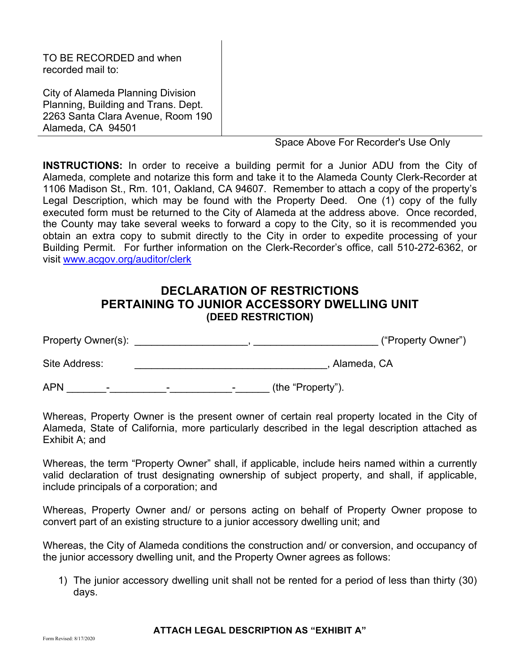| City of Alameda Planning Division<br>Planning, Building and Trans. Dept.<br>2263 Santa Clara Avenue, Room 190<br>Alameda, CA 94501 | TO BE RECORDED and when<br>recorded mail to: |  |
|------------------------------------------------------------------------------------------------------------------------------------|----------------------------------------------|--|
|                                                                                                                                    |                                              |  |

Space Above For Recorder's Use Only

**INSTRUCTIONS:** In order to receive a building permit for a Junior ADU from the City of Alameda, complete and notarize this form and take it to the Alameda County Clerk-Recorder at 1106 Madison St., Rm. 101, Oakland, CA 94607. Remember to attach a copy of the property's Legal Description, which may be found with the Property Deed. One (1) copy of the fully executed form must be returned to the City of Alameda at the address above. Once recorded, the County may take several weeks to forward a copy to the City, so it is recommended you obtain an extra copy to submit directly to the City in order to expedite processing of your Building Permit. For further information on the Clerk-Recorder's office, call 510-272-6362, or visit www.acgov.org/auditor/clerk

## **DECLARATION OF RESTRICTIONS PERTAINING TO JUNIOR ACCESSORY DWELLING UNIT (DEED RESTRICTION)**

| Property Owner(s): | ("Property Owner") |
|--------------------|--------------------|
| Site Address:      | Alameda, CA        |

APN \_\_\_\_\_\_\_-\_\_\_\_\_\_\_\_\_\_-\_\_\_\_\_\_\_\_\_\_\_-\_\_\_\_\_\_ (the "Property").

Whereas, Property Owner is the present owner of certain real property located in the City of Alameda, State of California, more particularly described in the legal description attached as Exhibit A; and

Whereas, the term "Property Owner" shall, if applicable, include heirs named within a currently valid declaration of trust designating ownership of subject property, and shall, if applicable, include principals of a corporation; and

Whereas, Property Owner and/ or persons acting on behalf of Property Owner propose to convert part of an existing structure to a junior accessory dwelling unit; and

Whereas, the City of Alameda conditions the construction and/ or conversion, and occupancy of the junior accessory dwelling unit, and the Property Owner agrees as follows:

1) The junior accessory dwelling unit shall not be rented for a period of less than thirty (30) days.